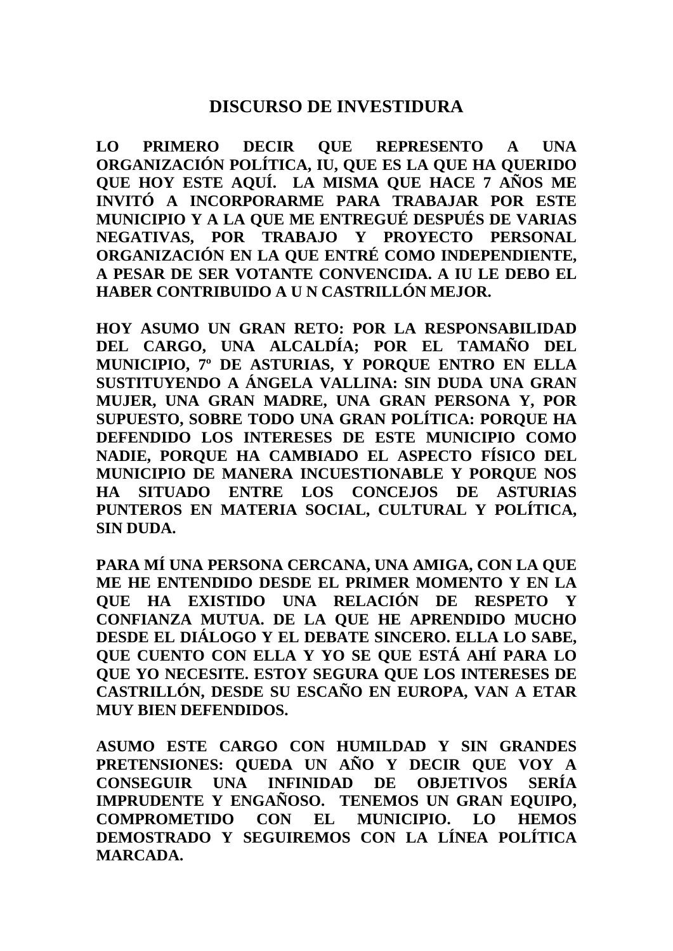## **DISCURSO DE INVESTIDURA**

**LO PRIMERO DECIR QUE REPRESENTO A UNA ORGANIZACIÓN POLÍTICA, IU, QUE ES LA QUE HA QUERIDO QUE HOY ESTE AQUÍ. LA MISMA QUE HACE 7 AÑOS ME INVITÓ A INCORPORARME PARA TRABAJAR POR ESTE MUNICIPIO Y A LA QUE ME ENTREGUÉ DESPUÉS DE VARIAS NEGATIVAS, POR TRABAJO Y PROYECTO PERSONAL ORGANIZACIÓN EN LA QUE ENTRÉ COMO INDEPENDIENTE, A PESAR DE SER VOTANTE CONVENCIDA. A IU LE DEBO EL HABER CONTRIBUIDO A U N CASTRILLÓN MEJOR.**

**HOY ASUMO UN GRAN RETO: POR LA RESPONSABILIDAD DEL CARGO, UNA ALCALDÍA; POR EL TAMAÑO DEL MUNICIPIO, 7º DE ASTURIAS, Y PORQUE ENTRO EN ELLA SUSTITUYENDO A ÁNGELA VALLINA: SIN DUDA UNA GRAN MUJER, UNA GRAN MADRE, UNA GRAN PERSONA Y, POR SUPUESTO, SOBRE TODO UNA GRAN POLÍTICA: PORQUE HA DEFENDIDO LOS INTERESES DE ESTE MUNICIPIO COMO NADIE, PORQUE HA CAMBIADO EL ASPECTO FÍSICO DEL MUNICIPIO DE MANERA INCUESTIONABLE Y PORQUE NOS HA SITUADO ENTRE LOS CONCEJOS DE ASTURIAS PUNTEROS EN MATERIA SOCIAL, CULTURAL Y POLÍTICA, SIN DUDA.** 

**PARA MÍ UNA PERSONA CERCANA, UNA AMIGA, CON LA QUE ME HE ENTENDIDO DESDE EL PRIMER MOMENTO Y EN LA QUE HA EXISTIDO UNA RELACIÓN DE RESPETO Y CONFIANZA MUTUA. DE LA QUE HE APRENDIDO MUCHO DESDE EL DIÁLOGO Y EL DEBATE SINCERO. ELLA LO SABE, QUE CUENTO CON ELLA Y YO SE QUE ESTÁ AHÍ PARA LO QUE YO NECESITE. ESTOY SEGURA QUE LOS INTERESES DE CASTRILLÓN, DESDE SU ESCAÑO EN EUROPA, VAN A ETAR MUY BIEN DEFENDIDOS.**

**ASUMO ESTE CARGO CON HUMILDAD Y SIN GRANDES PRETENSIONES: QUEDA UN AÑO Y DECIR QUE VOY A CONSEGUIR UNA INFINIDAD DE OBJETIVOS SERÍA IMPRUDENTE Y ENGAÑOSO. TENEMOS UN GRAN EQUIPO, COMPROMETIDO CON EL MUNICIPIO. LO HEMOS DEMOSTRADO Y SEGUIREMOS CON LA LÍNEA POLÍTICA MARCADA.**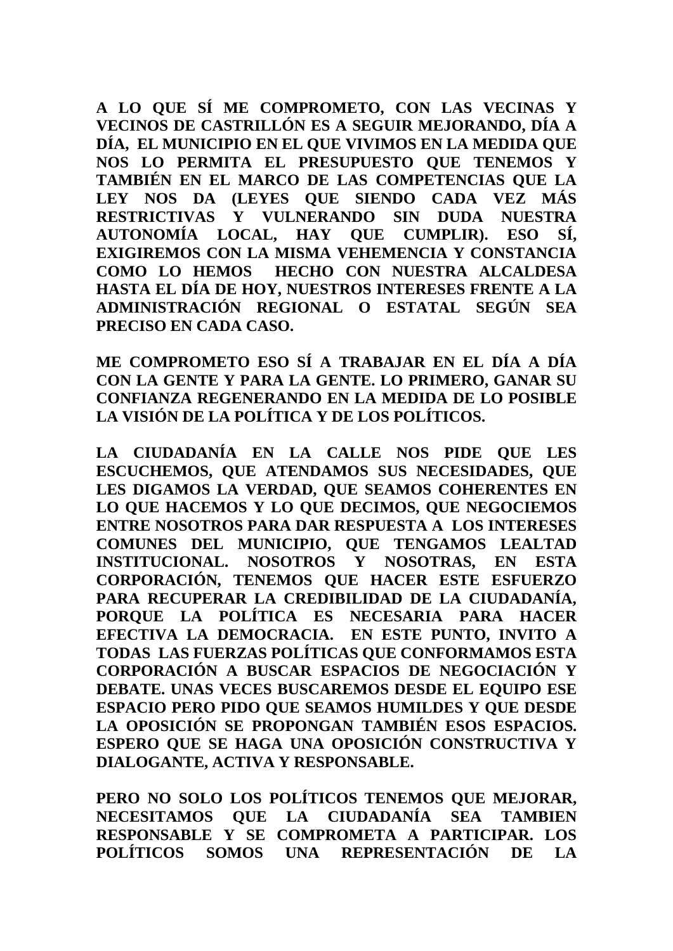**A LO QUE SÍ ME COMPROMETO, CON LAS VECINAS Y VECINOS DE CASTRILLÓN ES A SEGUIR MEJORANDO, DÍA A DÍA, EL MUNICIPIO EN EL QUE VIVIMOS EN LA MEDIDA QUE NOS LO PERMITA EL PRESUPUESTO QUE TENEMOS Y TAMBIÉN EN EL MARCO DE LAS COMPETENCIAS QUE LA LEY NOS DA (LEYES QUE SIENDO CADA VEZ MÁS RESTRICTIVAS Y VULNERANDO SIN DUDA NUESTRA AUTONOMÍA LOCAL, HAY QUE CUMPLIR). ESO SÍ, EXIGIREMOS CON LA MISMA VEHEMENCIA Y CONSTANCIA COMO LO HEMOS HECHO CON NUESTRA ALCALDESA HASTA EL DÍA DE HOY, NUESTROS INTERESES FRENTE A LA ADMINISTRACIÓN REGIONAL O ESTATAL SEGÚN SEA PRECISO EN CADA CASO.**

**ME COMPROMETO ESO SÍ A TRABAJAR EN EL DÍA A DÍA CON LA GENTE Y PARA LA GENTE. LO PRIMERO, GANAR SU CONFIANZA REGENERANDO EN LA MEDIDA DE LO POSIBLE LA VISIÓN DE LA POLÍTICA Y DE LOS POLÍTICOS.**

**LA CIUDADANÍA EN LA CALLE NOS PIDE QUE LES ESCUCHEMOS, QUE ATENDAMOS SUS NECESIDADES, QUE LES DIGAMOS LA VERDAD, QUE SEAMOS COHERENTES EN LO QUE HACEMOS Y LO QUE DECIMOS, QUE NEGOCIEMOS ENTRE NOSOTROS PARA DAR RESPUESTA A LOS INTERESES COMUNES DEL MUNICIPIO, QUE TENGAMOS LEALTAD INSTITUCIONAL. NOSOTROS Y NOSOTRAS, EN ESTA CORPORACIÓN, TENEMOS QUE HACER ESTE ESFUERZO PARA RECUPERAR LA CREDIBILIDAD DE LA CIUDADANÍA, PORQUE LA POLÍTICA ES NECESARIA PARA HACER EFECTIVA LA DEMOCRACIA. EN ESTE PUNTO, INVITO A TODAS LAS FUERZAS POLÍTICAS QUE CONFORMAMOS ESTA CORPORACIÓN A BUSCAR ESPACIOS DE NEGOCIACIÓN Y DEBATE. UNAS VECES BUSCAREMOS DESDE EL EQUIPO ESE ESPACIO PERO PIDO QUE SEAMOS HUMILDES Y QUE DESDE LA OPOSICIÓN SE PROPONGAN TAMBIÉN ESOS ESPACIOS. ESPERO QUE SE HAGA UNA OPOSICIÓN CONSTRUCTIVA Y DIALOGANTE, ACTIVA Y RESPONSABLE.** 

**PERO NO SOLO LOS POLÍTICOS TENEMOS QUE MEJORAR, NECESITAMOS QUE LA CIUDADANÍA SEA TAMBIEN RESPONSABLE Y SE COMPROMETA A PARTICIPAR. LOS POLÍTICOS SOMOS UNA REPRESENTACIÓN DE LA**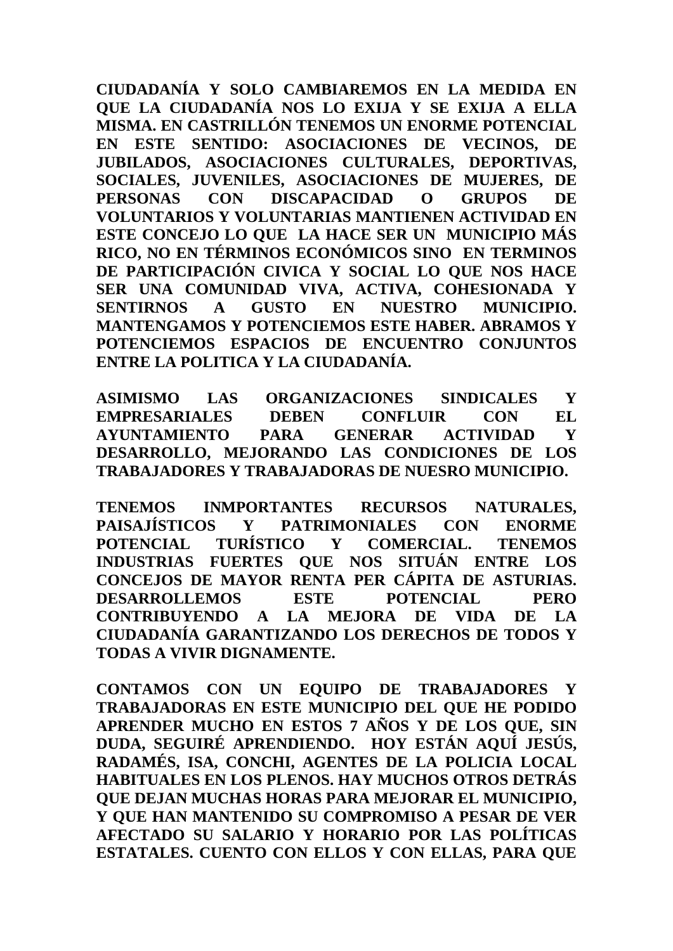**CIUDADANÍA Y SOLO CAMBIAREMOS EN LA MEDIDA EN QUE LA CIUDADANÍA NOS LO EXIJA Y SE EXIJA A ELLA MISMA. EN CASTRILLÓN TENEMOS UN ENORME POTENCIAL EN ESTE SENTIDO: ASOCIACIONES DE VECINOS, DE JUBILADOS, ASOCIACIONES CULTURALES, DEPORTIVAS, SOCIALES, JUVENILES, ASOCIACIONES DE MUJERES, DE PERSONAS CON DISCAPACIDAD O GRUPOS DE VOLUNTARIOS Y VOLUNTARIAS MANTIENEN ACTIVIDAD EN ESTE CONCEJO LO QUE LA HACE SER UN MUNICIPIO MÁS RICO, NO EN TÉRMINOS ECONÓMICOS SINO EN TERMINOS DE PARTICIPACIÓN CIVICA Y SOCIAL LO QUE NOS HACE SER UNA COMUNIDAD VIVA, ACTIVA, COHESIONADA Y SENTIRNOS A GUSTO EN NUESTRO MUNICIPIO. MANTENGAMOS Y POTENCIEMOS ESTE HABER. ABRAMOS Y POTENCIEMOS ESPACIOS DE ENCUENTRO CONJUNTOS ENTRE LA POLITICA Y LA CIUDADANÍA.** 

**ASIMISMO LAS ORGANIZACIONES SINDICALES Y EMPRESARIALES DEBEN CONFLUIR CON EL AYUNTAMIENTO PARA GENERAR ACTIVIDAD Y DESARROLLO, MEJORANDO LAS CONDICIONES DE LOS TRABAJADORES Y TRABAJADORAS DE NUESRO MUNICIPIO.**

**TENEMOS INMPORTANTES RECURSOS NATURALES, PAISAJÍSTICOS Y PATRIMONIALES CON ENORME POTENCIAL TURÍSTICO Y COMERCIAL. TENEMOS INDUSTRIAS FUERTES QUE NOS SITUÁN ENTRE LOS CONCEJOS DE MAYOR RENTA PER CÁPITA DE ASTURIAS. DESARROLLEMOS ESTE POTENCIAL PERO CONTRIBUYENDO A LA MEJORA DE VIDA DE LA CIUDADANÍA GARANTIZANDO LOS DERECHOS DE TODOS Y TODAS A VIVIR DIGNAMENTE.**

**CONTAMOS CON UN EQUIPO DE TRABAJADORES Y TRABAJADORAS EN ESTE MUNICIPIO DEL QUE HE PODIDO APRENDER MUCHO EN ESTOS 7 AÑOS Y DE LOS QUE, SIN DUDA, SEGUIRÉ APRENDIENDO. HOY ESTÁN AQUÍ JESÚS, RADAMÉS, ISA, CONCHI, AGENTES DE LA POLICIA LOCAL HABITUALES EN LOS PLENOS. HAY MUCHOS OTROS DETRÁS QUE DEJAN MUCHAS HORAS PARA MEJORAR EL MUNICIPIO, Y QUE HAN MANTENIDO SU COMPROMISO A PESAR DE VER AFECTADO SU SALARIO Y HORARIO POR LAS POLÍTICAS ESTATALES. CUENTO CON ELLOS Y CON ELLAS, PARA QUE**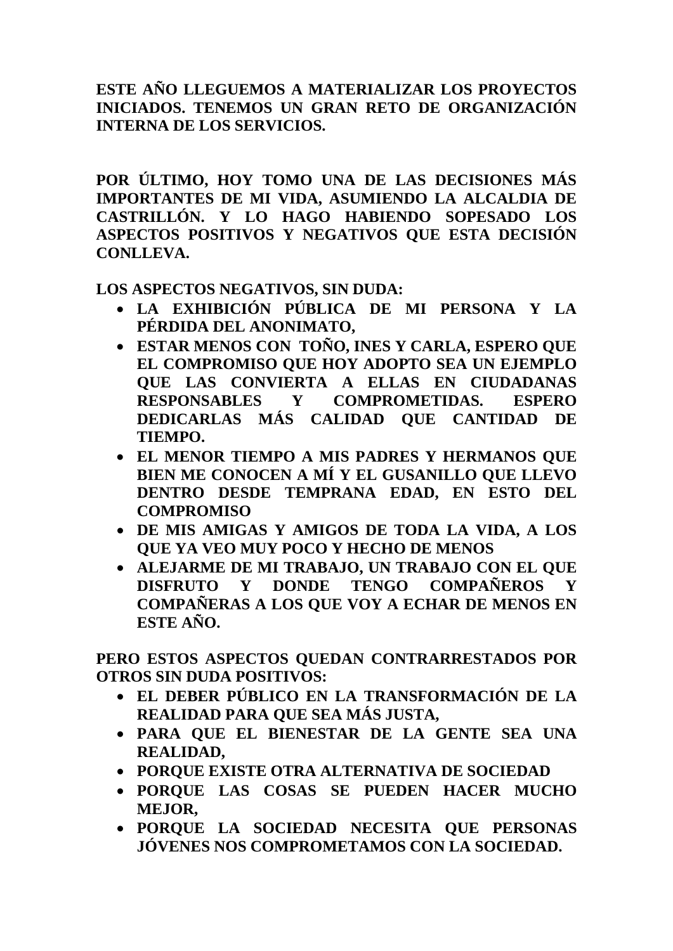## **ESTE AÑO LLEGUEMOS A MATERIALIZAR LOS PROYECTOS INICIADOS. TENEMOS UN GRAN RETO DE ORGANIZACIÓN INTERNA DE LOS SERVICIOS.**

**POR ÚLTIMO, HOY TOMO UNA DE LAS DECISIONES MÁS IMPORTANTES DE MI VIDA, ASUMIENDO LA ALCALDIA DE CASTRILLÓN. Y LO HAGO HABIENDO SOPESADO LOS ASPECTOS POSITIVOS Y NEGATIVOS QUE ESTA DECISIÓN CONLLEVA.**

**LOS ASPECTOS NEGATIVOS, SIN DUDA:**

- **LA EXHIBICIÓN PÚBLICA DE MI PERSONA Y LA PÉRDIDA DEL ANONIMATO,**
- **ESTAR MENOS CON TOÑO, INES Y CARLA, ESPERO QUE EL COMPROMISO QUE HOY ADOPTO SEA UN EJEMPLO QUE LAS CONVIERTA A ELLAS EN CIUDADANAS RESPONSABLES Y COMPROMETIDAS. ESPERO DEDICARLAS MÁS CALIDAD QUE CANTIDAD DE TIEMPO.**
- **EL MENOR TIEMPO A MIS PADRES Y HERMANOS QUE BIEN ME CONOCEN A MÍ Y EL GUSANILLO QUE LLEVO DENTRO DESDE TEMPRANA EDAD, EN ESTO DEL COMPROMISO**
- **DE MIS AMIGAS Y AMIGOS DE TODA LA VIDA, A LOS QUE YA VEO MUY POCO Y HECHO DE MENOS**
- **ALEJARME DE MI TRABAJO, UN TRABAJO CON EL QUE DISFRUTO Y DONDE TENGO COMPAÑEROS Y COMPAÑERAS A LOS QUE VOY A ECHAR DE MENOS EN ESTE AÑO.**

**PERO ESTOS ASPECTOS QUEDAN CONTRARRESTADOS POR OTROS SIN DUDA POSITIVOS:** 

- **EL DEBER PÚBLICO EN LA TRANSFORMACIÓN DE LA REALIDAD PARA QUE SEA MÁS JUSTA,**
- **PARA QUE EL BIENESTAR DE LA GENTE SEA UNA REALIDAD,**
- **PORQUE EXISTE OTRA ALTERNATIVA DE SOCIEDAD**
- **PORQUE LAS COSAS SE PUEDEN HACER MUCHO MEJOR,**
- **PORQUE LA SOCIEDAD NECESITA QUE PERSONAS JÓVENES NOS COMPROMETAMOS CON LA SOCIEDAD.**